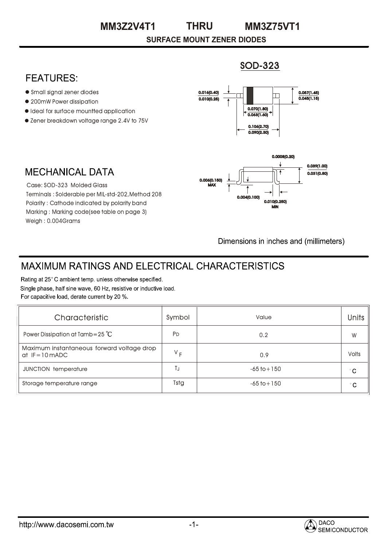#### **THRU MM3Z2V4T1 MM3Z75VT1**

**SURFACE MOUNT ZENER DIODES**

### SOD-323

### **FEATURES:**

- Small signal zener diodes
- 200mW Power dissipation
- $\bullet$  Ideal for surface mountted application
- Zener breakdown voltage range 2.4V to 75V



# MECHANICAL DATA

Case: SOD-323 Molded Glass Terminals : Solderable per MIL-std-202,Method 208 Polarity : Cathode indicated by polarity band Marking : Marking code(see table on page 3) Weigh : 0.004Grams



Dimensions in inches and (millimeters)

# **MAXIMUM RATINGS AND ELECTRICAL CHARACTERISTICS**

Rating at 25°C ambient temp. unless otherwise specified. Single phase, half sine wave, 60 Hz, resistive or inductive load. For capacitive load, derate current by 20 %.

| Characteristic                                                | Symbol         | Value           | <b>Units</b> |  |
|---------------------------------------------------------------|----------------|-----------------|--------------|--|
| Power Dissipation at Tamb=25 $^{\circ}$ C                     | P <sub>D</sub> | 0.2             | W            |  |
| Maximum instantaneous forward voltage drop<br>$at$ IF=10 mADC | $V_F$          | 0.9             | <b>Volts</b> |  |
| <b>JUNCTION temperature</b>                                   | TJ             | $-65$ to $+150$ | $^{\circ}$ C |  |
| Storage temperature range                                     | Tstg           | $-65$ to $+150$ | $^{\circ}$ C |  |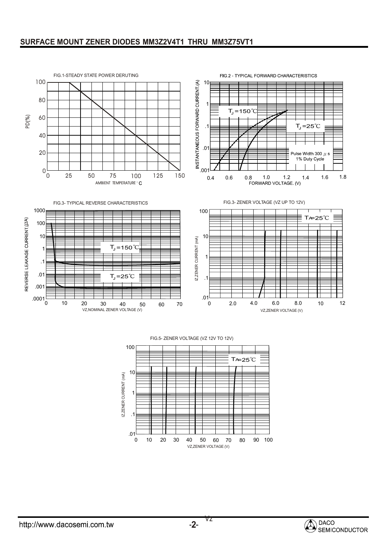#### **SURFACE MOUNT ZENER DIODES MM3Z2V4T1 THRU MM3Z75VT1**



FIG.5- ZENER VOLTAGE (VZ 12V TO 12V)



Vz